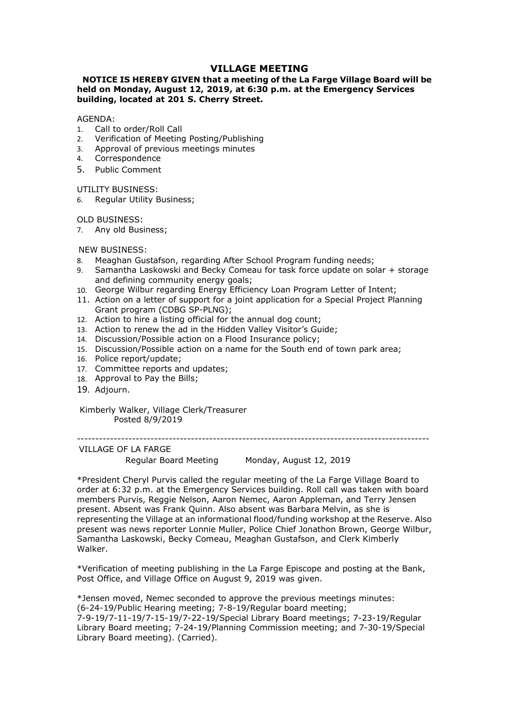# VILLAGE MEETING<br>lat a meeting of the La Farge Village Board will be<br>2019, at 6:30 p.m. at the Emergency Services<br>erry Street. **VILLAGE MEETING<br>NOTICE IS HEREBY GIVEN that a meeting of the La Farge Village Board will be<br>eld on Monday, August 12, 2019, at 6:30 p.m. at the Emergency Services<br>GENDA:<br>Call to order/Roll Call VILLAGE MEETING<br>
WILLAGE MEETING**<br>
held on Monday, August 12, 2019, at 6:30 p.m. at the Emergency Services<br>
building, located at 201 S. Cherry Street.<br>
AGENDA:<br>
AGENDA:<br>
2 Verification of Meeting Posting/Publishing<br>
2 Ver **VILLAGE MEETING<br>
WILLAGE MEETING**<br> **held on Monday, August 12, 2019, at 6:30 p.m. at the Emergency Services**<br> **building, located at 201 S. Cherry Street.**<br>
AGENDA:<br>
1. Call to order/Roll Call<br>
2. Verification of Meeting P **VILLAGE MEETING<br>
VILLAGE MEETING**<br> **NOTICE IS HEREBY GIVEN that a meeting of the La Farge Village Board will be<br>
held on Monday, August 12, 2019, at 6:30 p.m. at the Emergency Services<br>
building, located at 201 S. Cherry VILLAGE MEETING**<br> **VILLAGE MEETING**<br>
held on Monday, August 12, 2019, at 6:30 p.m. at the Emergency Services<br>
building, located at 201 S. Cherry Street.<br>
AGENDA:<br>
1. Call to order/Roll Call<br>
2. Verification of Meeting Pos **VILLAGE MEETING**<br> **VILLAGE MEETING**<br>
held on Monday, August 12, 2019, at 6:30 p.m. at the Emergency Services<br>
building, located at 201 S. Cherry Street.<br>
AGENDA:<br>
1. Call to order/Roll Call<br>
2. Verification of Meeting Pos **VILLAGE MEETING**<br> **VILLAGE MEETING**<br> **NOTICE IS HEREBY GIVEN that a meeting of the La Farge Village Board<br>
building, located at 201 S. Cherry Street.<br>
AGENDA:<br>
1. Call to order/Roll Call<br>
2. Verification of Meeting Postin** VILLAGE MEETING<br>
VILLAGE MEETING<br>
held on Monday, August 12, 2019, at 6:30 p.m. at the Emergency Ser<br>
building, located at 201 S. Cherry Street.<br>
AGENDA:<br>
1. Call to order/Roll Call<br>
2. Verification of Meeting Posting/Publ **WILLAGE MEETING**<br> **NOTICE IS HEREBY GIVEN that a meeting of the La Farge Village Board will be<br>
held on Monday, August 12, 2019, at 6:30 p.m. at the Emergency Services<br>
building, located at 201 S. Cherry Street.<br>
AGENDA:<br>** VILLAGE MEETING<br>
VILLAGE MEETING<br>
held on Monday, August 12, 2019, at 6:30 p.m. at the Emergency<br>
building, located at 201 S. Cherry Street.<br>
AGENDA:<br>
1. Call to order/Roll Call<br>
2. Verification of Meeting Posting/Publishi **NOTICE IS HEREBY GIVEN WILLAGE MEETING**<br> **NOTICE IS HEREBY GIVEN that a meeting of the La Farge Village Board wheld on Monday, August 12, 2019, at 6:30 p.m. at the Emergency Service<br>
AGENDA:<br>
ACENDA: Call to order/Roll Ca VILLAGE MEETING**<br> **WILLAGE MEETING**<br> **NOTICE IS HEREBY GIVEN that a meeting of the La Farge Village B-**<br> **NAGENDA:**<br> **NAGENDA:**<br>
I. Call to order/Roll Call<br>
2. Verification of Meeting Posting/Publishing<br>
2. Verification o **VILLAGE MEETING**<br> **NEAGE MEETING**<br> **Relation Monday, August 12, 2019, at 6:30 p.m. at the Emergency Services<br>
building, located at 201 S. Cherry Street.<br>
AGENDA:<br>
1. Call to order/Roll Call<br>
2. Verification of Meeting Pos VILLAGE MEETING**<br> **NOTICE IS HEREBY GIVEN that a meeting of the La Farge Village Board will be<br>
held on Monday, August 12, 2019, at 6:30 p.m. at the Emergency Services<br>
MGENDA:<br>
ACCOM Corder/Roll Call<br>
1. Call to order/Ro VILLAGE MEETING**<br> **VILLAGE MEETING**<br> **on Monday, August 12, 2019, at 6:30 p.m. at the Emergency Services<br>
aling, located at 201 S. Cherry Street.<br>
Call to order/Roll Call<br>
Call to order/Roll Call<br>
Approval of Meeting Post** VILLAGE MEETING<br>
NOTICE IS HEREBY GIVEN that a meeting of the La Farge Village Board will be<br>
building, located at 201 S. Cherry Street.<br>
AGENDA:<br>
AGENDA:<br>
L. Call to order/Roll Call<br>
1. Call to order/Roll Call<br>
1. Call to **NOTICE IS HEREBY GIVEN that a meeting of the La Farge Village Board will be<br>
huilding, located at 201 S. Cherry Street.<br>
AGENDA:<br>
1. Call to order/Roll Call<br>
1. Call to order/Roll Call<br>
2. Verification of Meeting Posting/** Fraction Monday, August 12, 2019, at 6:30 p.m. at the greengery searvices<br>
on Monday, August 12, 2019, at 6:30 p.m. at the Emergery Services<br>
Eding, located at 201 S. Cherry Street.<br>
Call to order/Roll Call<br>
Call to order/

## AGENDA:

- 
- 
- 
- 4. Correspondence
- 

- 
- **Example 12. Action 12. Action 12. Action**<br> **AGENDA:**<br> **AGENDA:**<br> **ACENDA:**<br> **2.** Verification of Meeting Posting/Publishing<br>
2. Verification of Meeting Posting/Publishing<br>
4. Correspondence<br>
4. Correspondence<br>
5. Public C Solition to renew the adding positing Positing Political<br>
1. Call to order/Roll Call<br>
1. Call to order/Roll Call<br>
4. Correspondence<br>
4. Correspondence<br>
5. Public Comment<br>
5. Public Comment<br>
1. TILITY BUSINESS:<br>
6. Regular AGENDA:<br>
1. Call to order/Roll Call<br>
2. Verification of Meeting Posting/Publishing<br>
3. Approval of previous meetings minutes<br>
4. Correspondence<br>
5. Public Comment<br>
5. Public Comment<br>
5. Regular Utility Business;<br>
7. Any ol 1. Call to order/Roll Call<br>
1. Call to order/Roll Call<br>
3. Approval of previous meetings minutes<br>
4. Correspondence<br>
5. Public Comment<br>
UTILITY BUSINESS:<br>
6. Regular Utility Business;<br>
1. D. Any old Business;<br>
1. We also B 2. Verification of Meeting Posting/Publishing<br>
2. Verification of Meeting Posting/Publishing<br>
4. Correspondence<br>
5. Public Comment<br>
4. Correspondence<br>
5. Public Comment<br>
UTILITY BUSINESS:<br>
6. Regular Utility Business;<br>
7. 2.<br>
2. Approval of previous meetings minutes<br>
4. Correspondence<br>
5. Public Comment<br>
UTILITY BUSINESS:<br>
6. Regular Utility Business;<br>
7. Any old Business;<br>
7. Any old Business;<br>
7. Any old Business;<br>
7. Any old Business;<br>
8 2. Newton the Bills;<br>
4. Correspondence<br>
5. Public Comment<br>
UTILITY BUSINESS:<br>
0LD BUSINESS:<br>
7. Any old Business;<br>
7. Any old Business;<br>
7. Any old Business;<br>
8. Meadann Gustafson, regarding After School Program funding n UTILITY BUSINESS:<br>
1. Regular Utility Business;<br>
1. Any old Business;<br>
1. Any old Business;<br>
1. May old Business;<br>
1. Seamhta Laskowski and Becky Comeau for task force update on solar + storage<br>
1. Seamhta Laskowski and Be boundary<br>
alar Utility Business;<br>
Inless:<br>
Incontinuty Business;<br>
SINESS:<br>
SINESS:<br>
SINESS:<br>
SINESS:<br>
SINESS:<br>
SINESS:<br>
SINESS:<br>
SINESS:<br>
SINESS:<br>
SINESS:<br>
SINESS:<br>
SINESS:<br>
alar Gustarfor supproprime for supproprime that
- 
- 
- 
- 
- 
- 
- 
- 
- 
- 19. Adjourn.

------------------------------------------------------------------------------------------------ VILLAGE OF LA FARGE ESS:<br>
ESS:<br>
ESS:<br>
ESS:<br>
In Gustafson, regarding After School Program funding needs;<br>
the Laskowski and Becky Comeau for task force update on solar + storage<br>
willbur regarding Energy Efficiency Loan Program Letter of Inten **Example 12**<br>
2. Meaghan Gustafson, regarding After School Program funding needs;<br>
2. Meaghan Gustakowski and Beckry Comeau for task force update on solar + storage<br>
2. and defining community energy goals;<br>
2. Grooge Willa or exery one of defining communitive and official or the Samantha Laskowski and Becky Comeau for task force update on Sahr + storage<br>
and defining community energy goals;<br>
10. George Willur regarding fenery Service Line an eration and defining community energy goals;<br>
and defining community energy goals;<br>
11. Action on a letter of support for a joint application for a Special Project Planning<br>
Centr program (CDBG SP-PLNG);<br>
2. Action to hire present was Frank Quinnery Senes, the endotromation of a special Project Planning Center of Intention on a letter of special Project Planning Center of the a listing official for the annual dog count;<br>11. Action to hire a no. Sociya who in espacing ChoBis SP-PLNG);<br>
11. Action on a letter of support for a joint application for a Special Project Planning<br>
12. Action to hire a listing official for the annual dog count;<br>
12. Action to hire a l 1. Nation of a reter to sail and the alisting official for the annual day count;<br>
2. Action to hire a listing official for the annual day count;<br>
13. Action to renew the ad in the Hidden Valley Vistior's Guide;<br>
14. Discus 12. Action to friew whe ad in the Hidden Valley Vistor's Guide;<br>
13. Action to friewe the ad in the Hidden Valley Vistor's Guide;<br>
14. Discussion/Possible action on a Flood Insurance policy;<br>
14. Discussion/Possible action Walker. 4. Discussion/Possible action on a noon nasulance puncy,<br>15. Discussion/Possible action on a name for the South end of town park area;<br>17. Committee reports and updates;<br>17. Committee reports and updates;<br>18. Approval to P 15. Postusson/y ussues account of an anterior circle on Mini-Bark areas,<br>16. Police report/update;<br>17. Committee report sand updates;<br>19. Adjourn.<br>
Kimberly Walker, Village Clerk/Treasurer<br>
Posted 8/9/2019<br>
Regular Bosted 1. Committee tepirs and optiones;<br>
18. Approval to Pay the Bills;<br>
19. Adjourn.<br>
Kimberly Walker, Village Clerk/Treasurer<br>
Posted 8/9/2019<br>
"President Cheryl Purvis called the regular meeting of the La Farge Village Board Enterty Walker, Village Clerk/Treasurer<br>
The Adjourn.<br>
Figure Tosted 8/9/2019<br>
The Constraine Clerk/Treasurer<br>
Fersion Regular Board Meeting<br>
The Secure Character Crept Ullage Board to<br>
The Technical Crept at 6:32 p.m. at 19. Aujourn.<br>
Kimberly Walker, Village Clerk/Treasurer<br>
VILLAGE Of LA FARGE<br>
The Regular Board Meeting Monday, August 12, 2019<br>
\*President Cheryl Purvis called the regular meeting of the La Farge Village Board to<br>
order at Kimberly Walker, Village Clerk/Treasurer<br>
"Posted 8/9/2019<br>
VILLAGE OF LA FARGE<br>
"Regident Board Meeting" Monday, August 12, 2019<br>
"President Cory Purvis called the regular meeting of the La Farge Village Board to<br>
order a Ninnerry walker<br>
Posted 8/9/2019<br>
The Posted 8/9/2019<br>
The Posted and Meeting<br>
Regular Board Meeting<br>
Regular Board Meeting<br>
Persident Cheryl Purvis called the regular meeting of the La Farge Village Board to<br>
order at 6:3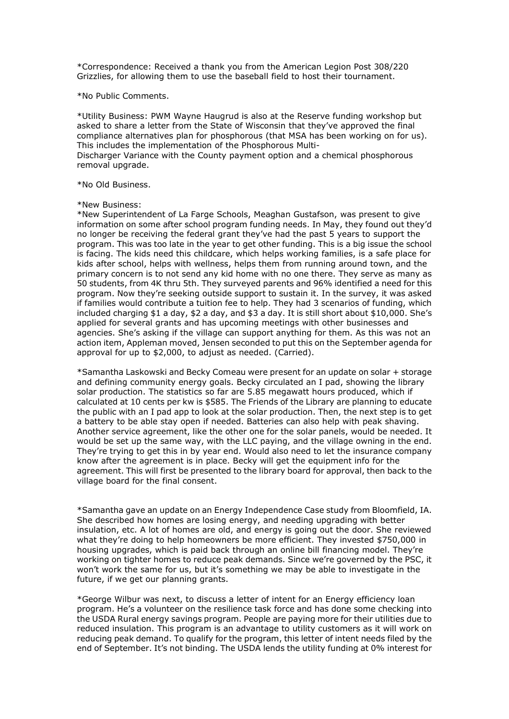Exprespondence: Received a thank you from the American Legion Post 308/220<br>Grizzlies, for allowing them to use the baseball field to host their tournament.<br>No Public Comments.<br>Kutility Business: PWM Wayne Haugrud is also a Express them the American Legion Post 308/220<br>Grizzlies, for allowing them to use the baseball field to host their tournament.<br>Ko Public Comments.<br>Kutility Business: PWM Wayne Haugrud is also at the Reserve funding worksho

\*Correspondence: Received a thank you from the American Legion Post 308/22<br>Grizzlies, for allowing them to use the baseball field to host their tournament.<br>\*No Public Comments.<br>\*Utility Business: PWM Wayne Haugrud is also \*Correspondence: Received a thank you from the American Legion Post 308/220<br>Grizzlies, for allowing them to use the baseball field to host their tournament.<br>\*No Public Comments.<br>\*Utility Business: PWM Wayne Haugrud is also \*Correspondence: Received a thank you from the American Legion Post 308/220<br>Grizzlies, for allowing them to use the baseball field to host their tournament.<br>\*No Public Comments.<br>\*Utility Business: PWM Wayne Haugrud is also \*Correspondence: Received a thank you from the American Legion Post 308/220<br>Grizzlies, for allowing them to use the baseball field to host their tournament.<br>\*No Public Comments.<br>\*No Public Comments.<br>\*Utility Business: PWM \*Correspondence: Received a thank you from the American Legion Post 308/220<br>Grizzlies, for allowing them to use the baseball field to host their tournament.<br>\*No Public Comments.<br>\*Utility Business: PWM Wayne Haugrud is also \*Correspondence: Received a thank you from the American Legion Post 308/220<br>Grizzlies, for allowing them to use the baseball field to host their tournament.<br>\*No Public Comments.<br>\*Utility Business: PWM Wayne Haugrud is also \*Correspondence: Received a thank you from the American Legion Post 308/<br>Grizzlies, for allowing them to use the baseball field to host their tournament<br>\*No Public Comments.<br>\*Utility Business: PWM Wayne Haugrud is also at \*Correspondence: Received a thank you from the American Legion Post 308/<br>Grizzlies, for allowing them to use the baseball field to host their tournament<br>\*No Public Comments.<br>\*Utility Business: PWM Wayne Haugrud is also at

\*Correspondence: Received a thank you from the American Legion Post 30<br>Grizzlies, for allowing them to use the baseball field to host their tourname<br>\*No Public Comments.<br>\*Utility Business: PWM Wayne Haugrud is also at the \*Correspondence: Received a thank you from the American Legion Post 308/220<br>Grizzlies, for allowing them to use the baseball field to host their tournament.<br>\*No Public Comments.<br>\*No Public Comments.<br>\*No Public Schools are <sup>\*</sup>Correspondence: Received a thank you from the American Legion Post 308/220<br>Grizzlies, for allowing them to use the baseball field to host their tournament.<br>\*No Public Comments.<br>\*No Public Comments.<br>asked to share a lett \*Correspondence: Received a thank you from the American Legion Post 308/220<br>Grizzlies, for allowing them to use the baseball field to host their tournament.<br>\*No Public Comments.<br>\*No Public Comments.<br>\*No Public Comments.<br>\*N \*Correspondence: Received a thank you from the American Legion Post 308/220<br>Grizziles, for allowing them to use the baseball field to host their tournament.<br>\*No Public Comments.<br>\*No Public Comments.<br>asked to share a letter "Correspondence: Received a thank you from the American Legion Post 308/220<br>Grizzlies, for allowing them to use the baseball field to host their tournament.<br>"No Public Comments.<br>"No Public Comments.<br>"No Public Comments.<br>"N \*Correspondence: Received a thank you from the American Legion Post 308/220<br>Grizzlies, for allowing them to use the baseball field to host their tournament.<br>\*No Public Comments.<br>\*No Public Comments.<br>\*No Public Comments.<br>\*N \*Correspondence: Received a thank you from the American Legion Post 308/220<br>Grizzlies, for allowing them to use the baseball field to host their tournament.<br>\*No Public Comments.<br>\*No Public Comments.<br>\*Hilly Business: PWM Wa \*Correspondence: Received a thank you from the American Legion Post 308/220<br>
Grizziles, for allowing them to use the baseball field to host their tournament.<br>
\*VUItily Dusiness: PWM Wayne Haugrud is also at the Reserve fun \*Correspondence: 'escelved a thank you from the American Legion brost 308/220<br>
"Grizzlies, for allowing them to use the baseball field to host their tournament.<br>
\*No Public Comments.<br>
\*No Public Comments.<br>
\*No Public Comme strizzies, for allowing them to use the baseball field to nost their tournament.<br>\*\*Utility Business: PWW Wayne Haugrud is also at the Reserve funding workshop but<br>ansked to share a letter from the State of Wisconsin that t \*No Public Comments.<br>
\*Utility Business: PWM Wayne Haugrud is also at the Reserve funding workshop but<br>
asked to share a letter from the State of Wisconsin that hey've approved the final<br>
Tompliance elternatives plan for p \*No Public Comments.<br>\*No Public Comments. PWM Wayne Haugrud is also at the Reserve funding workshop but<br>\*Lightity Business alternatives plan for phosphorous (that MSA has been working on for us).<br>Compliance alternatives pl \*Utility Business: PWM Wayne Haugrud is also at the Reserve funding workshop but<br>saxed to share a letter from the State of Wisconsin that they've approved the final<br>This includes the implementation of the Phosphorous (that \*Uttinty business: PMW wayne Haugruu is also at the kesserve tuning workshop but<br>asked to share a letter from the State of Wisconsin that they've approved the final<br>This includes the implementation of the Phosphorous (that assed to snare a letter from the state of wisconsin that frey've approved the final<br>compliance alternatives plan for phosphorous (that MSA has been working on for us).<br>This includes the implementation of the Phosphorous Mu This includes the implementation of the Phosphorous Multi-<br>This charger Variance with the County payment option and a chemical phosphorous<br>removal upgrade.<br>\*No Old Business:<br>\*New Business:<br>\*New Superintendent of La Farge S Disconarge Variance with the County payment option and a chemical phosphorous<br>
\*No Old Business:<br>
\*New Business:<br>
\*New Business:<br>
\*New Superintendent of La Farge Schools, Meaghan Gustafson, was present to give<br>
\*New Superi removal upgrade.<br>
\*No Old Business.<br>
\*New Superintendent of La Farge Schools, Meaghan Gustafson, was present to give<br>
\*New Superintendent on some affer school program funding needs. In May, they found out they'd<br>
informati \*No Old Business.<br>\*New Business:<br>\*New Superintedent of La Farge Schools, Meaghan Gustafson, was present to give<br>\*New Superinted in on some after school program funding needs. In May, they found out they'd<br>no longer be rece \*No Old business.<br>
\*New Sugniess:<br>
\*New Sugnerintendent of La Farge Schools, Meaghan Gustafson, was present to give<br>
\*New Superintendent on some after school program funding needs. In May, they found out they'<br>
find man I \*New Business:<br>\*New Superinedent of La Farge Schools, Meaghan Gustafson, was present to give<br>\*Normation on some after school program funding needs. In May, they found out they'd<br>no longer be receiving the federal grant the \*New Supernitendent of La Farge Schools, Meaghan Gustafson, was present to give<br>information on some after school program funding needs. In May, they found out they'd<br>ino longer be receiving the federal grant they've had th \*New Supernitenearent or La Farge Scronos, Meegann cuistatson, was present to give<br>ninformation on some after scholo program funding needs. In May, they found out they'd<br>no longer be receiving the federal grant they've had information on some atter school program funding needs. In May, they found out they been program. This was too late in the year to get other funding. This is a big issue the school is facing. The kids need this childcare, no longer be receiving the tederal grant they ve had the past 5 years to support the<br>program. This was too late in the year to get other funding. This is a big issue the school<br>is facting. The kids need this childcare, whi

program. This was too late in the year to get to ther trunding. This is a big issue the school set for school and proving families, is a safe place for school, helps with wellness, helps them from running around town, and is faceng. Ine kids need this childrene, which helps working ramiles, is a sare place for the single for the single thus thicked are the more than the primary concerns to the day kid home with one there. They serve as many 50 students, from 4K thru hey inveyed parents and bb% ulentined a need for this preserved parents and the framilies would contribute a tuition fee to help. They had 3 secantins of funding, which if funding with it for the program. Now they're seeking outside support to sustain it. In the survey, it was asked<br>included charging \$1 a day, \$2 a day, and \$3 age, it is still short about still, only that<br>applied for several grants and has upcoming if ramilies would contribute a tuttion the to help. They had 3 scenarios of tunding, which applied for several grants and as proporing metching ayit other businesses and papelid for several grants and has proporting metchi included charging \$1 a day, \$2 a day, and \$2 a day. It is still short about \$10,000. She appleid for several grants and bas upcoming meetings with other businesses and agencies. She's asking if the village can support anyt applied tor several grants and nas upcoming meetings with other businesses and<br>agencies. She's asking if the village can support anything for them. As this was not an<br>actom item, Appleman moved, Jenesn seconded to put this agenement. This will first be presented to the the lington trapting for them. As this was not an<br>eaction item, Appleman moved, Jensen seconded to put this on the September agenda for<br>approval for up to \$2,000, to adjust as action term, Appleman moved, Jenesn seconorada to put this on the September agenda for<br>approval for up to \$2,000, to adjust as needed. (Carried).<br>"Samantha Laskowski and Becky Comeau were present for an update on solar + s approval for up to \$2,000, to adjust as needed. (Carried).<br>
\*Samantha Laskowski and Becky Comeau were present for an update on solar + storage<br>
\*Samantha Laskowski and Becky Comeau were present for an update on solar + sto \*Samantha Laskwassi an Becky Comeau were present for an uppate on solar + storage of and production. The statistics os for are 5.85 megawt hours produced, which if scalculated at 10 cents per kw is \$585. The Friends of the and detining community energy goals. Beckly circulated an 1 pad, showny the library<br>solar production. The statistics so far are 5.85 megawatt hours producted which if<br>the Library are planing to educate<br>the public with an 1 solar production. The statistics to rar are 5.85 megawatt hours produced, which it distinguits with an I pad appt to look at the solar production. Then, the next step is to get a battery to be able stay open if needed. Bat calculated at 10 cents per Kw is \$555. The Friends of the Library are planning to educate<br>the public with an 1 pad app to look at the solar production. Then, the next step is to get<br>a battery to be able stay open if needed

the public with an 1 pad app to look at the solar production. I nen, the next step is to get<br>a battery to be able stay open if needded. Batteries can also help with peak shaving.<br>Another service agreement, like the other o a battery to be able stay open it needed. batteries can also help with peak sinaving.<br>Another service agreement, like the other one for the solar panels, would be needed. It would be set up the same way, with the LLC paiya